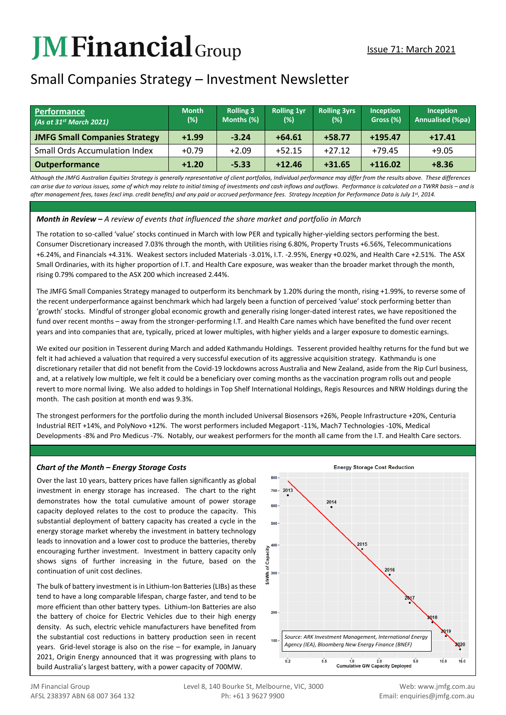# **JMFinancial**Group

# Small Companies Strategy – Investment Newsletter

| Performance<br>$(As$ at 31st March 2021) | <b>Month</b><br>(%) | <b>Rolling 3</b><br>Months (%) | <b>Rolling 1vr</b><br>(%) | <b>Rolling 3yrs</b><br>$(\%)$ | Inception<br>Gross (%) | <b>Inception</b><br><b>Annualised (%pa)</b> |
|------------------------------------------|---------------------|--------------------------------|---------------------------|-------------------------------|------------------------|---------------------------------------------|
| <b>JMFG Small Companies Strategy</b>     | $+1.99$             | $-3.24$                        | $+64.61$                  | $+58.77$                      | $+195.47$              | $+17.41$                                    |
| <b>Small Ords Accumulation Index</b>     | $+0.79$             | $+2.09$                        | $+52.15$                  | $+27.12$                      | $+79.45$               | $+9.05$                                     |
| <b>Outperformance</b>                    | $+1.20$             | $-5.33$                        | $+12.46$                  | $+31.65$                      | $+116.02$              | $+8.36$                                     |

*Although the JMFG Australian Equities Strategy is generally representative of client portfolios, Individual performance may differ from the results above. These differences can arise due to various issues, some of which may relate to initial timing of investments and cash inflows and outflows. Performance is calculated on a TWRR basis – and is after management fees, taxes (excl imp. credit benefits) and any paid or accrued performance fees. Strategy Inception for Performance Data is July 1st, 2014.*

#### *Month in Review – A review of events that influenced the share market and portfolio in March*

The rotation to so-called 'value' stocks continued in March with low PER and typically higher-yielding sectors performing the best. Consumer Discretionary increased 7.03% through the month, with Utilities rising 6.80%, Property Trusts +6.56%, Telecommunications +6.24%, and Financials +4.31%. Weakest sectors included Materials -3.01%, I.T. -2.95%, Energy +0.02%, and Health Care +2.51%. The ASX Small Ordinaries, with its higher proportion of I.T. and Health Care exposure, was weaker than the broader market through the month, rising 0.79% compared to the ASX 200 which increased 2.44%.

The JMFG Small Companies Strategy managed to outperform its benchmark by 1.20% during the month, rising +1.99%, to reverse some of the recent underperformance against benchmark which had largely been a function of perceived 'value' stock performing better than 'growth' stocks. Mindful of stronger global economic growth and generally rising longer-dated interest rates, we have repositioned the fund over recent months – away from the stronger-performing I.T. and Health Care names which have benefited the fund over recent years and into companies that are, typically, priced at lower multiples, with higher yields and a larger exposure to domestic earnings.

We exited our position in Tesserent during March and added Kathmandu Holdings. Tesserent provided healthy returns for the fund but we felt it had achieved a valuation that required a very successful execution of its aggressive acquisition strategy. Kathmandu is one discretionary retailer that did not benefit from the Covid-19 lockdowns across Australia and New Zealand, aside from the Rip Curl business, and, at a relatively low multiple, we felt it could be a beneficiary over coming months as the vaccination program rolls out and people revert to more normal living. We also added to holdings in Top Shelf International Holdings, Regis Resources and NRW Holdings during the month. The cash position at month end was 9.3%.

The strongest performers for the portfolio during the month included Universal Biosensors +26%, People Infrastructure +20%, Centuria Industrial REIT +14%, and PolyNovo +12%. The worst performers included Megaport -11%, Mach7 Technologies -10%, Medical Developments -8% and Pro Medicus -7%. Notably, our weakest performers for the month all came from the I.T. and Health Care sectors.

## *Chart of the Month – Energy Storage Costs*

Over the last 10 years, battery prices have fallen significantly as global investment in energy storage has increased. The chart to the right demonstrates how the total cumulative amount of power storage capacity deployed relates to the cost to produce the capacity. This substantial deployment of battery capacity has created a cycle in the energy storage market whereby the investment in battery technology leads to innovation and a lower cost to produce the batteries, thereby encouraging further investment. Investment in battery capacity only shows signs of further increasing in the future, based on the continuation of unit cost declines.

The bulk of battery investment is in Lithium-Ion Batteries (LIBs) as these tend to have a long comparable lifespan, charge faster, and tend to be more efficient than other battery types. Lithium-Ion Batteries are also the battery of choice for Electric Vehicles due to their high energy density. As such, electric vehicle manufacturers have benefited from the substantial cost reductions in battery production seen in recent years. Grid-level storage is also on the rise – for example, in January 2021, Origin Energy announced that it was progressing with plans to build Australia's largest battery, with a power capacity of 700MW.